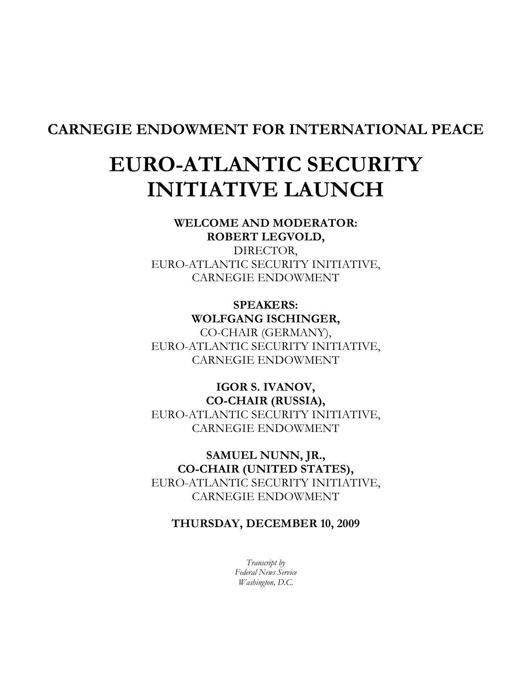## CARNEGIE ENDOWMENT FOR INTERNATIONAL PEACE

# EURO-ATLANTIC SECURITY INITIATIVE LAUNCH

#### WELCOME AND MODERATOR: ROBERT LEGVOLD,

DIRECTOR, EURO-ATLANTIC SECURITY INITIATIVE, CARNEGIE ENDOWMENT

## SPEAKERS: WOLFGANG ISCHINGER,

CO-CHAIR (GERMANY), EURO-ATLANTIC SECURITY INITIATIVE, CARNEGIE ENDOWMENT

## IGOR S. IVANOV, CO-CHAIR (RUSSIA), EURO-ATLANTIC SECURITY INITIATIVE, CARNEGIE ENDOWMENT

## SAMUEL NUNN, JR., CO-CHAIR (UNITED STATES), EURO-ATLANTIC SECURITY INITIATIVE, CARNEGIE ENDOWMENT

### THURSDAY, DECEMBER 10, 2009

Transcript by Federal News Service Washington, D.C.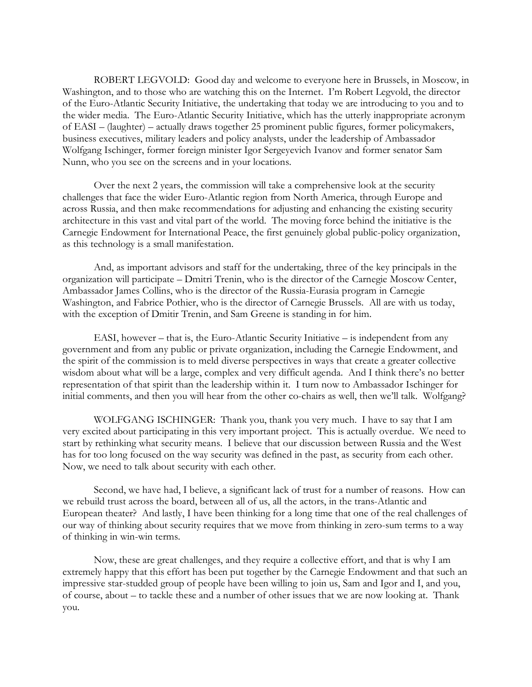ROBERT LEGVOLD: Good day and welcome to everyone here in Brussels, in Moscow, in Washington, and to those who are watching this on the Internet. I'm Robert Legvold, the director of the Euro-Atlantic Security Initiative, the undertaking that today we are introducing to you and to the wider media. The Euro-Atlantic Security Initiative, which has the utterly inappropriate acronym of EASI – (laughter) – actually draws together 25 prominent public figures, former policymakers, business executives, military leaders and policy analysts, under the leadership of Ambassador Wolfgang Ischinger, former foreign minister Igor Sergeyevich Ivanov and former senator Sam Nunn, who you see on the screens and in your locations.

Over the next 2 years, the commission will take a comprehensive look at the security challenges that face the wider Euro-Atlantic region from North America, through Europe and across Russia, and then make recommendations for adjusting and enhancing the existing security architecture in this vast and vital part of the world. The moving force behind the initiative is the Carnegie Endowment for International Peace, the first genuinely global public-policy organization, as this technology is a small manifestation.

And, as important advisors and staff for the undertaking, three of the key principals in the organization will participate – Dmitri Trenin, who is the director of the Carnegie Moscow Center, Ambassador James Collins, who is the director of the Russia-Eurasia program in Carnegie Washington, and Fabrice Pothier, who is the director of Carnegie Brussels. All are with us today, with the exception of Dmitir Trenin, and Sam Greene is standing in for him.

EASI, however – that is, the Euro-Atlantic Security Initiative – is independent from any government and from any public or private organization, including the Carnegie Endowment, and the spirit of the commission is to meld diverse perspectives in ways that create a greater collective wisdom about what will be a large, complex and very difficult agenda. And I think there's no better representation of that spirit than the leadership within it. I turn now to Ambassador Ischinger for initial comments, and then you will hear from the other co-chairs as well, then we'll talk. Wolfgang?

WOLFGANG ISCHINGER: Thank you, thank you very much. I have to say that I am very excited about participating in this very important project. This is actually overdue. We need to start by rethinking what security means. I believe that our discussion between Russia and the West has for too long focused on the way security was defined in the past, as security from each other. Now, we need to talk about security with each other.

Second, we have had, I believe, a significant lack of trust for a number of reasons. How can we rebuild trust across the board, between all of us, all the actors, in the trans-Atlantic and European theater? And lastly, I have been thinking for a long time that one of the real challenges of our way of thinking about security requires that we move from thinking in zero-sum terms to a way of thinking in win-win terms.

Now, these are great challenges, and they require a collective effort, and that is why I am extremely happy that this effort has been put together by the Carnegie Endowment and that such an impressive star-studded group of people have been willing to join us, Sam and Igor and I, and you, of course, about – to tackle these and a number of other issues that we are now looking at. Thank you.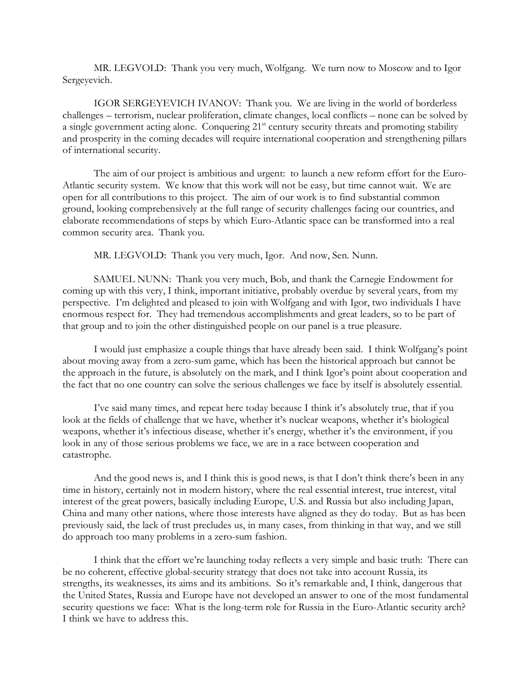MR. LEGVOLD: Thank you very much, Wolfgang. We turn now to Moscow and to Igor Sergeyevich.

IGOR SERGEYEVICH IVANOV: Thank you. We are living in the world of borderless challenges – terrorism, nuclear proliferation, climate changes, local conflicts – none can be solved by a single government acting alone. Conquering 21<sup>st</sup> century security threats and promoting stability and prosperity in the coming decades will require international cooperation and strengthening pillars of international security.

The aim of our project is ambitious and urgent: to launch a new reform effort for the Euro-Atlantic security system. We know that this work will not be easy, but time cannot wait. We are open for all contributions to this project. The aim of our work is to find substantial common ground, looking comprehensively at the full range of security challenges facing our countries, and elaborate recommendations of steps by which Euro-Atlantic space can be transformed into a real common security area. Thank you.

MR. LEGVOLD: Thank you very much, Igor. And now, Sen. Nunn.

SAMUEL NUNN: Thank you very much, Bob, and thank the Carnegie Endowment for coming up with this very, I think, important initiative, probably overdue by several years, from my perspective. I'm delighted and pleased to join with Wolfgang and with Igor, two individuals I have enormous respect for. They had tremendous accomplishments and great leaders, so to be part of that group and to join the other distinguished people on our panel is a true pleasure.

I would just emphasize a couple things that have already been said. I think Wolfgang's point about moving away from a zero-sum game, which has been the historical approach but cannot be the approach in the future, is absolutely on the mark, and I think Igor's point about cooperation and the fact that no one country can solve the serious challenges we face by itself is absolutely essential.

I've said many times, and repeat here today because I think it's absolutely true, that if you look at the fields of challenge that we have, whether it's nuclear weapons, whether it's biological weapons, whether it's infectious disease, whether it's energy, whether it's the environment, if you look in any of those serious problems we face, we are in a race between cooperation and catastrophe.

And the good news is, and I think this is good news, is that I don't think there's been in any time in history, certainly not in modern history, where the real essential interest, true interest, vital interest of the great powers, basically including Europe, U.S. and Russia but also including Japan, China and many other nations, where those interests have aligned as they do today. But as has been previously said, the lack of trust precludes us, in many cases, from thinking in that way, and we still do approach too many problems in a zero-sum fashion.

I think that the effort we're launching today reflects a very simple and basic truth: There can be no coherent, effective global-security strategy that does not take into account Russia, its strengths, its weaknesses, its aims and its ambitions. So it's remarkable and, I think, dangerous that the United States, Russia and Europe have not developed an answer to one of the most fundamental security questions we face: What is the long-term role for Russia in the Euro-Atlantic security arch? I think we have to address this.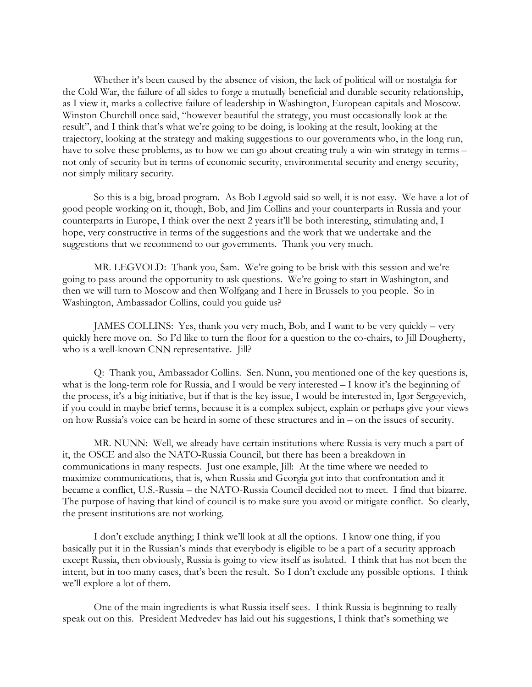Whether it's been caused by the absence of vision, the lack of political will or nostalgia for the Cold War, the failure of all sides to forge a mutually beneficial and durable security relationship, as I view it, marks a collective failure of leadership in Washington, European capitals and Moscow. Winston Churchill once said, "however beautiful the strategy, you must occasionally look at the result", and I think that's what we're going to be doing, is looking at the result, looking at the trajectory, looking at the strategy and making suggestions to our governments who, in the long run, have to solve these problems, as to how we can go about creating truly a win-win strategy in terms – not only of security but in terms of economic security, environmental security and energy security, not simply military security.

So this is a big, broad program. As Bob Legvold said so well, it is not easy. We have a lot of good people working on it, though, Bob, and Jim Collins and your counterparts in Russia and your counterparts in Europe, I think over the next 2 years it'll be both interesting, stimulating and, I hope, very constructive in terms of the suggestions and the work that we undertake and the suggestions that we recommend to our governments. Thank you very much.

MR. LEGVOLD: Thank you, Sam. We're going to be brisk with this session and we're going to pass around the opportunity to ask questions. We're going to start in Washington, and then we will turn to Moscow and then Wolfgang and I here in Brussels to you people. So in Washington, Ambassador Collins, could you guide us?

JAMES COLLINS: Yes, thank you very much, Bob, and I want to be very quickly – very quickly here move on. So I'd like to turn the floor for a question to the co-chairs, to Jill Dougherty, who is a well-known CNN representative. Jill?

Q: Thank you, Ambassador Collins. Sen. Nunn, you mentioned one of the key questions is, what is the long-term role for Russia, and I would be very interested – I know it's the beginning of the process, it's a big initiative, but if that is the key issue, I would be interested in, Igor Sergeyevich, if you could in maybe brief terms, because it is a complex subject, explain or perhaps give your views on how Russia's voice can be heard in some of these structures and in – on the issues of security.

MR. NUNN: Well, we already have certain institutions where Russia is very much a part of it, the OSCE and also the NATO-Russia Council, but there has been a breakdown in communications in many respects. Just one example, Jill: At the time where we needed to maximize communications, that is, when Russia and Georgia got into that confrontation and it became a conflict, U.S.-Russia – the NATO-Russia Council decided not to meet. I find that bizarre. The purpose of having that kind of council is to make sure you avoid or mitigate conflict. So clearly, the present institutions are not working.

I don't exclude anything; I think we'll look at all the options. I know one thing, if you basically put it in the Russian's minds that everybody is eligible to be a part of a security approach except Russia, then obviously, Russia is going to view itself as isolated. I think that has not been the intent, but in too many cases, that's been the result. So I don't exclude any possible options. I think we'll explore a lot of them.

One of the main ingredients is what Russia itself sees. I think Russia is beginning to really speak out on this. President Medvedev has laid out his suggestions, I think that's something we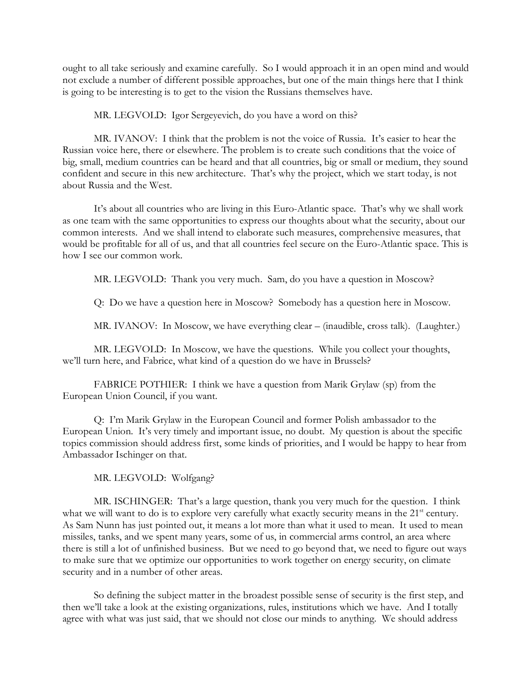ought to all take seriously and examine carefully. So I would approach it in an open mind and would not exclude a number of different possible approaches, but one of the main things here that I think is going to be interesting is to get to the vision the Russians themselves have.

MR. LEGVOLD: Igor Sergeyevich, do you have a word on this?

MR. IVANOV: I think that the problem is not the voice of Russia. It's easier to hear the Russian voice here, there or elsewhere. The problem is to create such conditions that the voice of big, small, medium countries can be heard and that all countries, big or small or medium, they sound confident and secure in this new architecture. That's why the project, which we start today, is not about Russia and the West.

It's about all countries who are living in this Euro-Atlantic space. That's why we shall work as one team with the same opportunities to express our thoughts about what the security, about our common interests. And we shall intend to elaborate such measures, comprehensive measures, that would be profitable for all of us, and that all countries feel secure on the Euro-Atlantic space. This is how I see our common work.

MR. LEGVOLD: Thank you very much. Sam, do you have a question in Moscow?

Q: Do we have a question here in Moscow? Somebody has a question here in Moscow.

MR. IVANOV: In Moscow, we have everything clear – (inaudible, cross talk). (Laughter.)

MR. LEGVOLD: In Moscow, we have the questions. While you collect your thoughts, we'll turn here, and Fabrice, what kind of a question do we have in Brussels?

FABRICE POTHIER: I think we have a question from Marik Grylaw (sp) from the European Union Council, if you want.

Q: I'm Marik Grylaw in the European Council and former Polish ambassador to the European Union. It's very timely and important issue, no doubt. My question is about the specific topics commission should address first, some kinds of priorities, and I would be happy to hear from Ambassador Ischinger on that.

MR. LEGVOLD: Wolfgang?

MR. ISCHINGER: That's a large question, thank you very much for the question. I think what we will want to do is to explore very carefully what exactly security means in the 21<sup>st</sup> century. As Sam Nunn has just pointed out, it means a lot more than what it used to mean. It used to mean missiles, tanks, and we spent many years, some of us, in commercial arms control, an area where there is still a lot of unfinished business. But we need to go beyond that, we need to figure out ways to make sure that we optimize our opportunities to work together on energy security, on climate security and in a number of other areas.

So defining the subject matter in the broadest possible sense of security is the first step, and then we'll take a look at the existing organizations, rules, institutions which we have. And I totally agree with what was just said, that we should not close our minds to anything. We should address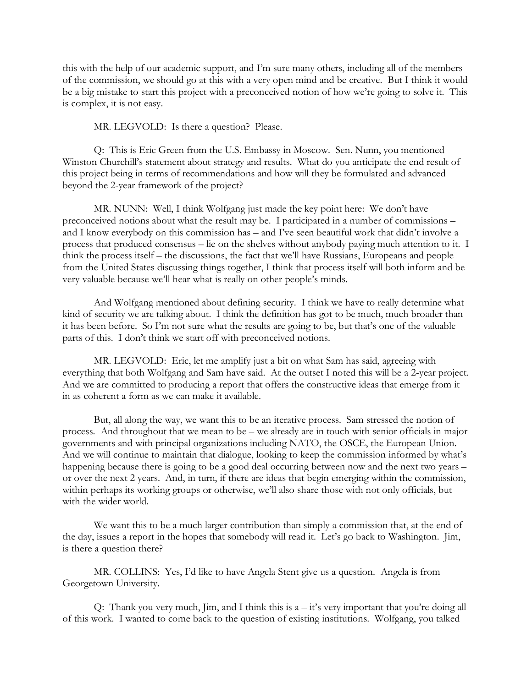this with the help of our academic support, and I'm sure many others, including all of the members of the commission, we should go at this with a very open mind and be creative. But I think it would be a big mistake to start this project with a preconceived notion of how we're going to solve it. This is complex, it is not easy.

MR. LEGVOLD: Is there a question? Please.

Q: This is Eric Green from the U.S. Embassy in Moscow. Sen. Nunn, you mentioned Winston Churchill's statement about strategy and results. What do you anticipate the end result of this project being in terms of recommendations and how will they be formulated and advanced beyond the 2-year framework of the project?

MR. NUNN: Well, I think Wolfgang just made the key point here: We don't have preconceived notions about what the result may be. I participated in a number of commissions – and I know everybody on this commission has – and I've seen beautiful work that didn't involve a process that produced consensus – lie on the shelves without anybody paying much attention to it. I think the process itself – the discussions, the fact that we'll have Russians, Europeans and people from the United States discussing things together, I think that process itself will both inform and be very valuable because we'll hear what is really on other people's minds.

And Wolfgang mentioned about defining security. I think we have to really determine what kind of security we are talking about. I think the definition has got to be much, much broader than it has been before. So I'm not sure what the results are going to be, but that's one of the valuable parts of this. I don't think we start off with preconceived notions.

MR. LEGVOLD: Eric, let me amplify just a bit on what Sam has said, agreeing with everything that both Wolfgang and Sam have said. At the outset I noted this will be a 2-year project. And we are committed to producing a report that offers the constructive ideas that emerge from it in as coherent a form as we can make it available.

But, all along the way, we want this to be an iterative process. Sam stressed the notion of process. And throughout that we mean to be – we already are in touch with senior officials in major governments and with principal organizations including NATO, the OSCE, the European Union. And we will continue to maintain that dialogue, looking to keep the commission informed by what's happening because there is going to be a good deal occurring between now and the next two years – or over the next 2 years. And, in turn, if there are ideas that begin emerging within the commission, within perhaps its working groups or otherwise, we'll also share those with not only officials, but with the wider world.

We want this to be a much larger contribution than simply a commission that, at the end of the day, issues a report in the hopes that somebody will read it. Let's go back to Washington. Jim, is there a question there?

MR. COLLINS: Yes, I'd like to have Angela Stent give us a question. Angela is from Georgetown University.

Q: Thank you very much, Jim, and I think this is a – it's very important that you're doing all of this work. I wanted to come back to the question of existing institutions. Wolfgang, you talked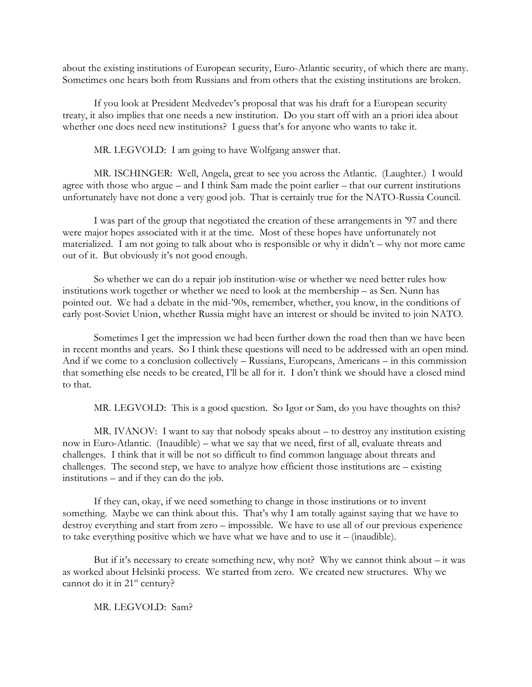about the existing institutions of European security, Euro-Atlantic security, of which there are many. Sometimes one hears both from Russians and from others that the existing institutions are broken.

If you look at President Medvedev's proposal that was his draft for a European security treaty, it also implies that one needs a new institution. Do you start off with an a priori idea about whether one does need new institutions? I guess that's for anyone who wants to take it.

MR. LEGVOLD: I am going to have Wolfgang answer that.

MR. ISCHINGER: Well, Angela, great to see you across the Atlantic. (Laughter.) I would agree with those who argue – and I think Sam made the point earlier – that our current institutions unfortunately have not done a very good job. That is certainly true for the NATO-Russia Council.

I was part of the group that negotiated the creation of these arrangements in '97 and there were major hopes associated with it at the time. Most of these hopes have unfortunately not materialized. I am not going to talk about who is responsible or why it didn't – why not more came out of it. But obviously it's not good enough.

So whether we can do a repair job institution-wise or whether we need better rules how institutions work together or whether we need to look at the membership – as Sen. Nunn has pointed out. We had a debate in the mid-'90s, remember, whether, you know, in the conditions of early post-Soviet Union, whether Russia might have an interest or should be invited to join NATO.

Sometimes I get the impression we had been further down the road then than we have been in recent months and years. So I think these questions will need to be addressed with an open mind. And if we come to a conclusion collectively – Russians, Europeans, Americans – in this commission that something else needs to be created, I'll be all for it. I don't think we should have a closed mind to that.

MR. LEGVOLD: This is a good question. So Igor or Sam, do you have thoughts on this?

MR. IVANOV: I want to say that nobody speaks about – to destroy any institution existing now in Euro-Atlantic. (Inaudible) – what we say that we need, first of all, evaluate threats and challenges. I think that it will be not so difficult to find common language about threats and challenges. The second step, we have to analyze how efficient those institutions are – existing institutions – and if they can do the job.

If they can, okay, if we need something to change in those institutions or to invent something. Maybe we can think about this. That's why I am totally against saying that we have to destroy everything and start from zero – impossible. We have to use all of our previous experience to take everything positive which we have what we have and to use it – (inaudible).

But if it's necessary to create something new, why not? Why we cannot think about  $-$  it was as worked about Helsinki process. We started from zero. We created new structures. Why we cannot do it in  $21<sup>st</sup>$  century?

MR. LEGVOLD: Sam?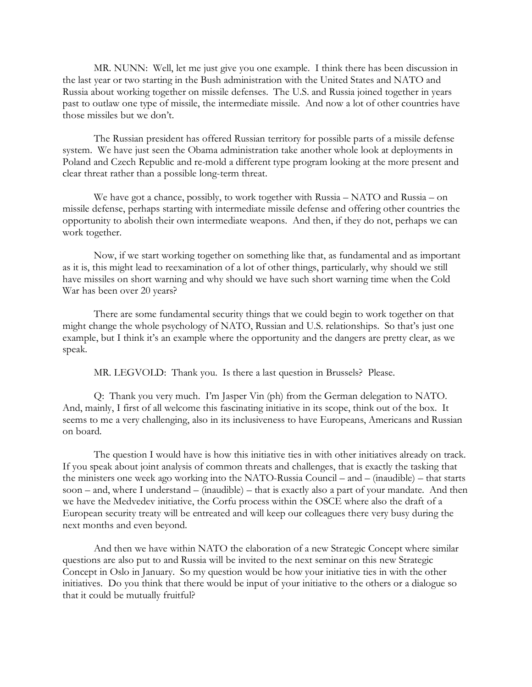MR. NUNN: Well, let me just give you one example. I think there has been discussion in the last year or two starting in the Bush administration with the United States and NATO and Russia about working together on missile defenses. The U.S. and Russia joined together in years past to outlaw one type of missile, the intermediate missile. And now a lot of other countries have those missiles but we don't.

The Russian president has offered Russian territory for possible parts of a missile defense system. We have just seen the Obama administration take another whole look at deployments in Poland and Czech Republic and re-mold a different type program looking at the more present and clear threat rather than a possible long-term threat.

We have got a chance, possibly, to work together with Russia – NATO and Russia – on missile defense, perhaps starting with intermediate missile defense and offering other countries the opportunity to abolish their own intermediate weapons. And then, if they do not, perhaps we can work together.

Now, if we start working together on something like that, as fundamental and as important as it is, this might lead to reexamination of a lot of other things, particularly, why should we still have missiles on short warning and why should we have such short warning time when the Cold War has been over 20 years?

There are some fundamental security things that we could begin to work together on that might change the whole psychology of NATO, Russian and U.S. relationships. So that's just one example, but I think it's an example where the opportunity and the dangers are pretty clear, as we speak.

MR. LEGVOLD: Thank you. Is there a last question in Brussels? Please.

Q: Thank you very much. I'm Jasper Vin (ph) from the German delegation to NATO. And, mainly, I first of all welcome this fascinating initiative in its scope, think out of the box. It seems to me a very challenging, also in its inclusiveness to have Europeans, Americans and Russian on board.

The question I would have is how this initiative ties in with other initiatives already on track. If you speak about joint analysis of common threats and challenges, that is exactly the tasking that the ministers one week ago working into the NATO-Russia Council – and – (inaudible) – that starts soon – and, where I understand – (inaudible) – that is exactly also a part of your mandate. And then we have the Medvedev initiative, the Corfu process within the OSCE where also the draft of a European security treaty will be entreated and will keep our colleagues there very busy during the next months and even beyond.

And then we have within NATO the elaboration of a new Strategic Concept where similar questions are also put to and Russia will be invited to the next seminar on this new Strategic Concept in Oslo in January. So my question would be how your initiative ties in with the other initiatives. Do you think that there would be input of your initiative to the others or a dialogue so that it could be mutually fruitful?